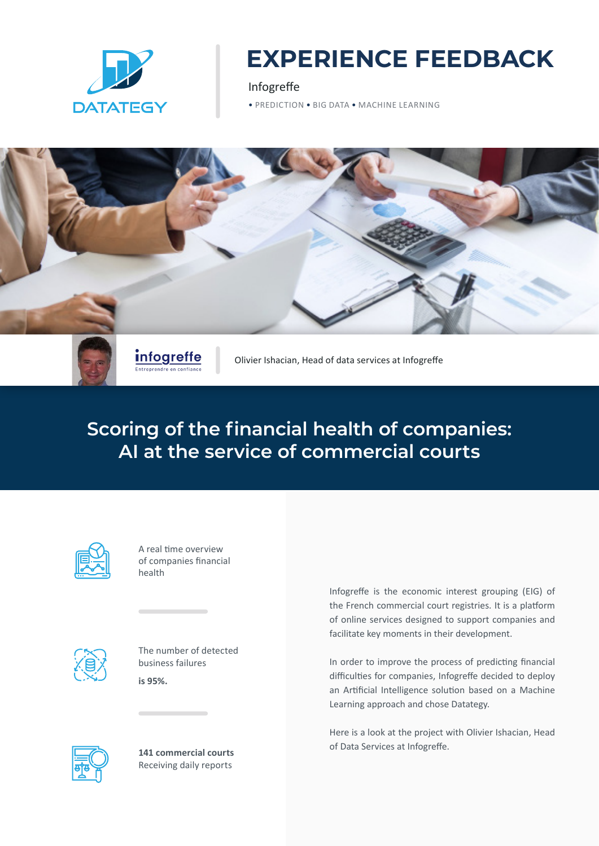

# **EXPERIENCE FEEDBACK**

Infogreffe

• PREDICTION • BIG DATA • MACHINE LEARNING



**Scoring of the financial health of companies: AI at the service of commercial courts**

| r |  |  |  |
|---|--|--|--|

A real time overview of companies financial health



The number of detected business failures **is 95%.**



**141 commercial courts**  Receiving daily reports

Infogreffe is the economic interest grouping (EIG) of the French commercial court registries. It is a platform of online services designed to support companies and facilitate key moments in their development.

In order to improve the process of predicting financial difficulties for companies, Infogreffe decided to deploy an Artificial Intelligence solution based on a Machine Learning approach and chose Datategy.

Here is a look at the project with Olivier Ishacian, Head of Data Services at Infogreffe.